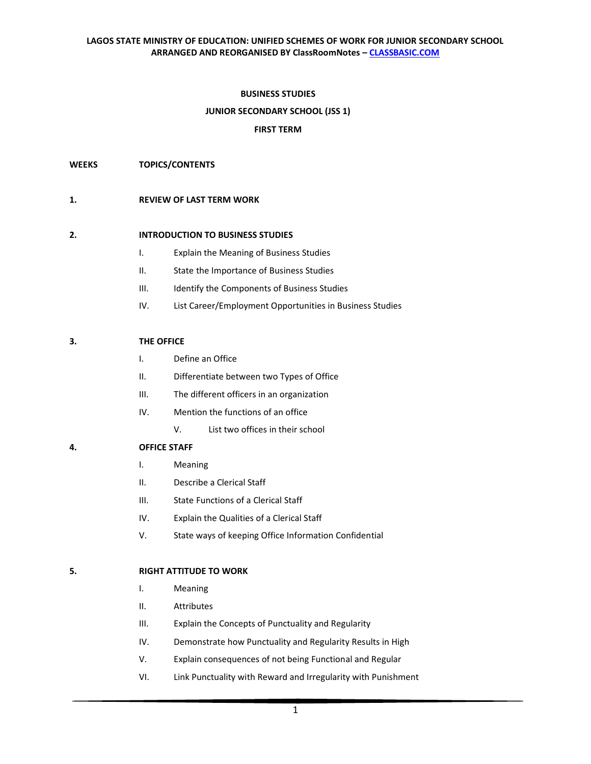## **BUSINESS STUDIES**

#### **JUNIOR SECONDARY SCHOOL (JSS 1)**

#### **FIRST TERM**

#### **WEEKS TOPICS/CONTENTS**

#### **1. REVIEW OF LAST TERM WORK**

#### **2. INTRODUCTION TO BUSINESS STUDIES**

- I. Explain the Meaning of Business Studies
- II. State the Importance of Business Studies
- III. Identify the Components of Business Studies
- IV. List Career/Employment Opportunities in Business Studies

#### **3. THE OFFICE**

- I. Define an Office
- II. Differentiate between two Types of Office
- III. The different officers in an organization
- IV. Mention the functions of an office
	- V. List two offices in their school

## **4. OFFICE STAFF**

- I. Meaning
- II. Describe a Clerical Staff
- III. State Functions of a Clerical Staff
- IV. Explain the Qualities of a Clerical Staff
- V. State ways of keeping Office Information Confidential

## **5. RIGHT ATTITUDE TO WORK**

- I. Meaning
- II. Attributes
- III. Explain the Concepts of Punctuality and Regularity
- IV. Demonstrate how Punctuality and Regularity Results in High
- V. Explain consequences of not being Functional and Regular
- VI. Link Punctuality with Reward and Irregularity with Punishment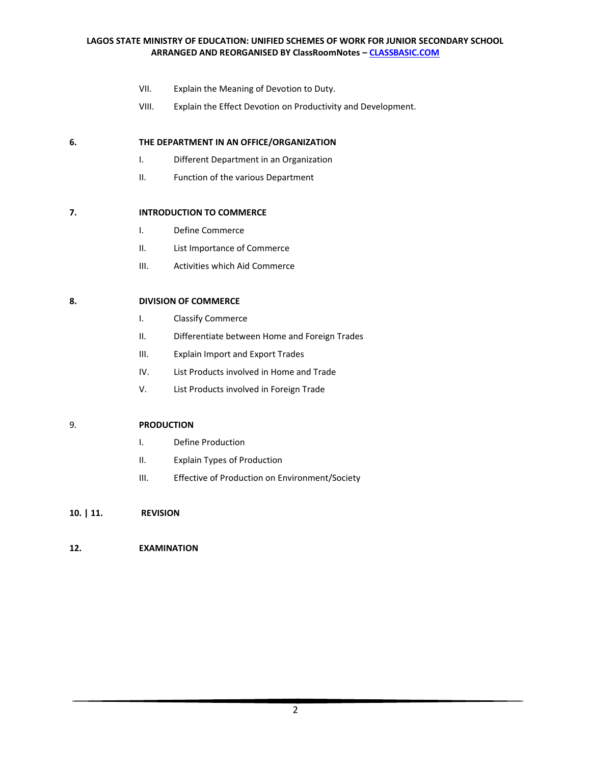- VII. Explain the Meaning of Devotion to Duty.
- VIII. Explain the Effect Devotion on Productivity and Development.

# **6. THE DEPARTMENT IN AN OFFICE/ORGANIZATION**

- I. Different Department in an Organization
- II. Function of the various Department

# **7. INTRODUCTION TO COMMERCE**

- I. Define Commerce
- II. List Importance of Commerce
- III. Activities which Aid Commerce

# **8. DIVISION OF COMMERCE**

- I. Classify Commerce
- II. Differentiate between Home and Foreign Trades
- III. Explain Import and Export Trades
- IV. List Products involved in Home and Trade
- V. List Products involved in Foreign Trade

## 9. **PRODUCTION**

- I. Define Production
- II. Explain Types of Production
- III. Effective of Production on Environment/Society

# **10. | 11. REVISION**

# **12. EXAMINATION**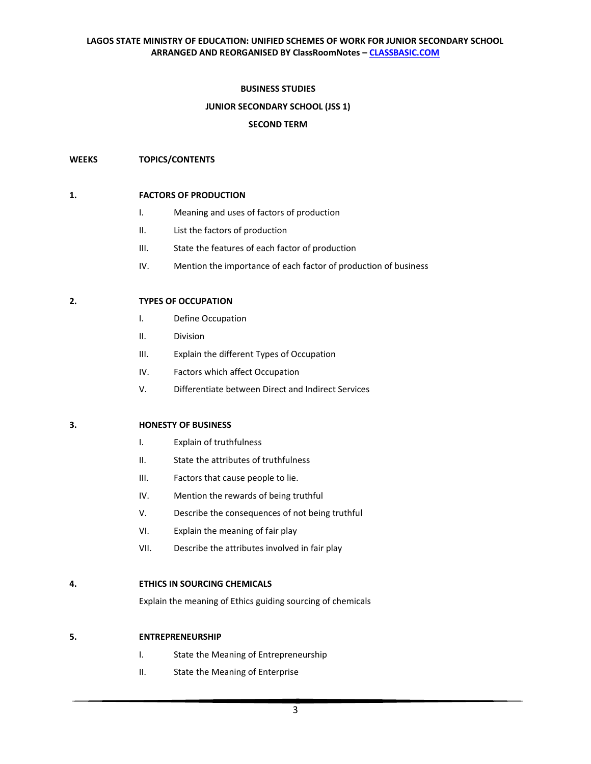## **BUSINESS STUDIES**

# **JUNIOR SECONDARY SCHOOL (JSS 1)**

## **SECOND TERM**

# **WEEKS TOPICS/CONTENTS**

## **1. FACTORS OF PRODUCTION**

- I. Meaning and uses of factors of production
- II. List the factors of production
- III. State the features of each factor of production
- IV. Mention the importance of each factor of production of business

# **2. TYPES OF OCCUPATION**

- I. Define Occupation
- II. Division
- III. Explain the different Types of Occupation
- IV. Factors which affect Occupation
- V. Differentiate between Direct and Indirect Services

## **3. HONESTY OF BUSINESS**

- I. Explain of truthfulness
- II. State the attributes of truthfulness
- III. Factors that cause people to lie.
- IV. Mention the rewards of being truthful
- V. Describe the consequences of not being truthful
- VI. Explain the meaning of fair play
- VII. Describe the attributes involved in fair play

# **4. ETHICS IN SOURCING CHEMICALS**

Explain the meaning of Ethics guiding sourcing of chemicals

## **5. ENTREPRENEURSHIP**

- I. State the Meaning of Entrepreneurship
- II. State the Meaning of Enterprise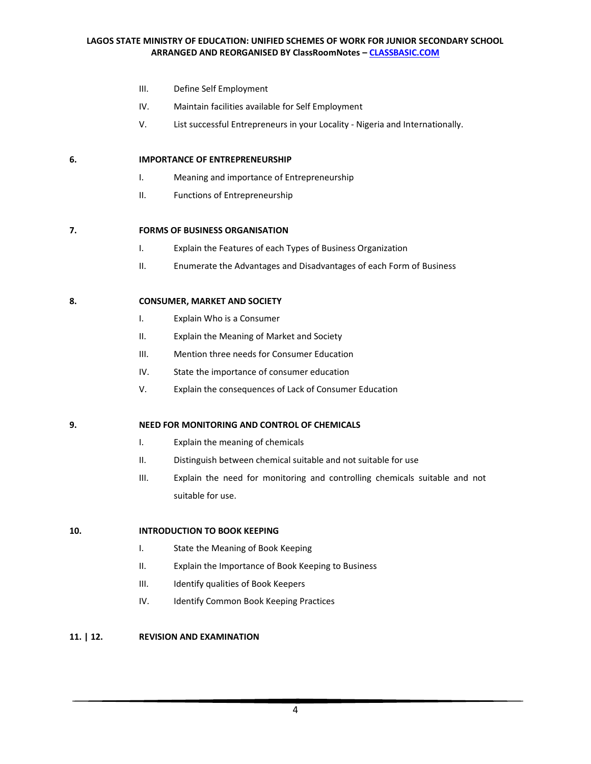- III. Define Self Employment
- IV. Maintain facilities available for Self Employment
- V. List successful Entrepreneurs in your Locality Nigeria and Internationally.

## **6. IMPORTANCE OF ENTREPRENEURSHIP**

- I. Meaning and importance of Entrepreneurship
- II. Functions of Entrepreneurship

#### **7. FORMS OF BUSINESS ORGANISATION**

- I. Explain the Features of each Types of Business Organization
- II. Enumerate the Advantages and Disadvantages of each Form of Business

#### **8. CONSUMER, MARKET AND SOCIETY**

- I. Explain Who is a Consumer
- II. Explain the Meaning of Market and Society
- III. Mention three needs for Consumer Education
- IV. State the importance of consumer education
- V. Explain the consequences of Lack of Consumer Education

## **9. NEED FOR MONITORING AND CONTROL OF CHEMICALS**

- I. Explain the meaning of chemicals
- II. Distinguish between chemical suitable and not suitable for use
- III. Explain the need for monitoring and controlling chemicals suitable and not suitable for use.

## **10. INTRODUCTION TO BOOK KEEPING**

- I. State the Meaning of Book Keeping
- II. Explain the Importance of Book Keeping to Business
- III. Identify qualities of Book Keepers
- IV. Identify Common Book Keeping Practices

# **11. | 12. REVISION AND EXAMINATION**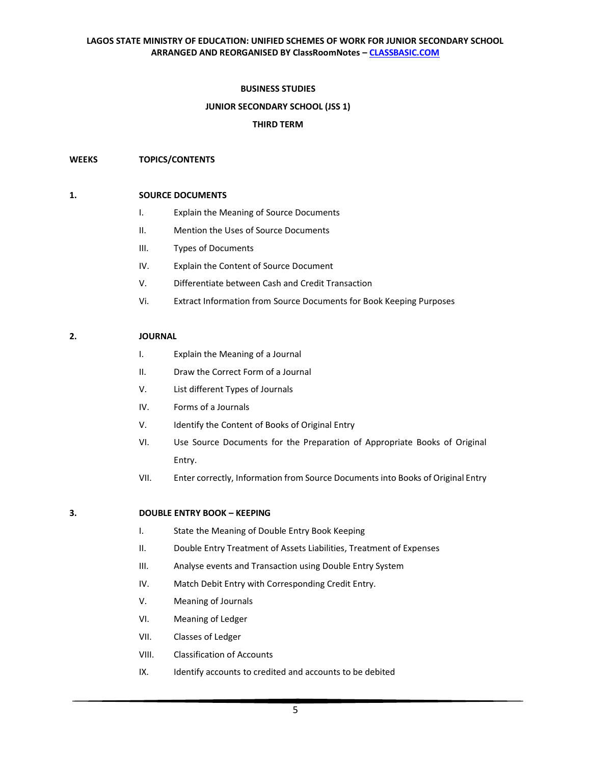# **BUSINESS STUDIES**

# **JUNIOR SECONDARY SCHOOL (JSS 1)**

## **THIRD TERM**

## **WEEKS TOPICS/CONTENTS**

## **1. SOURCE DOCUMENTS**

- I. Explain the Meaning of Source Documents
- II. Mention the Uses of Source Documents
- III. Types of Documents
- IV. Explain the Content of Source Document
- V. Differentiate between Cash and Credit Transaction
- Vi. Extract Information from Source Documents for Book Keeping Purposes

#### **2. JOURNAL**

- I. Explain the Meaning of a Journal
- II. Draw the Correct Form of a Journal
- V. List different Types of Journals
- IV. Forms of a Journals
- V. Identify the Content of Books of Original Entry
- VI. Use Source Documents for the Preparation of Appropriate Books of Original Entry.
- VII. Enter correctly, Information from Source Documents into Books of Original Entry

## **3. DOUBLE ENTRY BOOK – KEEPING**

- I. State the Meaning of Double Entry Book Keeping
- II. Double Entry Treatment of Assets Liabilities, Treatment of Expenses
- III. Analyse events and Transaction using Double Entry System
- IV. Match Debit Entry with Corresponding Credit Entry.
- V. Meaning of Journals
- VI. Meaning of Ledger
- VII. Classes of Ledger
- VIII. Classification of Accounts
- IX. Identify accounts to credited and accounts to be debited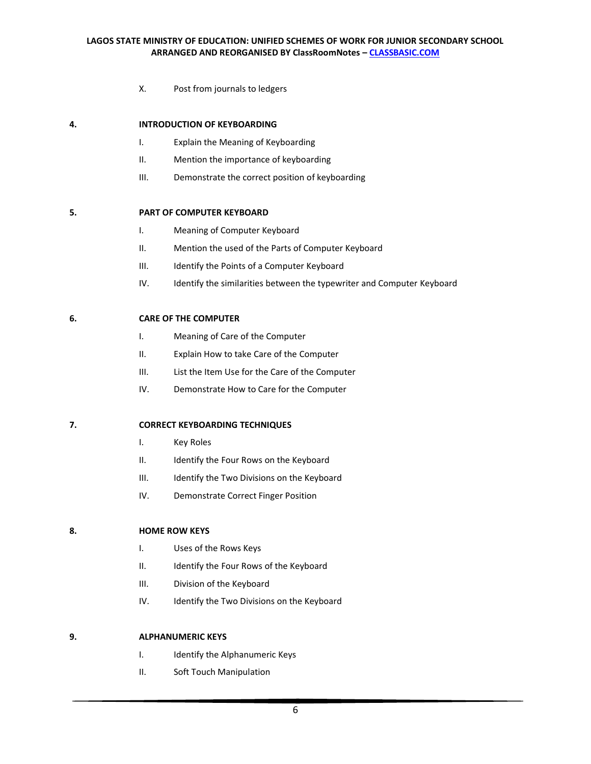X. Post from journals to ledgers

## **4. INTRODUCTION OF KEYBOARDING**

- I. Explain the Meaning of Keyboarding
- II. Mention the importance of keyboarding
- III. Demonstrate the correct position of keyboarding

# **5. PART OF COMPUTER KEYBOARD**

- I. Meaning of Computer Keyboard
- II. Mention the used of the Parts of Computer Keyboard
- III. Identify the Points of a Computer Keyboard
- IV. Identify the similarities between the typewriter and Computer Keyboard

## **6. CARE OF THE COMPUTER**

- I. Meaning of Care of the Computer
- II. Explain How to take Care of the Computer
- III. List the Item Use for the Care of the Computer
- IV. Demonstrate How to Care for the Computer

#### **7. CORRECT KEYBOARDING TECHNIQUES**

- I. Key Roles
- II. Identify the Four Rows on the Keyboard
- III. Identify the Two Divisions on the Keyboard
- IV. Demonstrate Correct Finger Position

## **8. HOME ROW KEYS**

- I. Uses of the Rows Keys
- II. Identify the Four Rows of the Keyboard
- III. Division of the Keyboard
- IV. Identify the Two Divisions on the Keyboard

## **9. ALPHANUMERIC KEYS**

- I. Identify the Alphanumeric Keys
- II. Soft Touch Manipulation